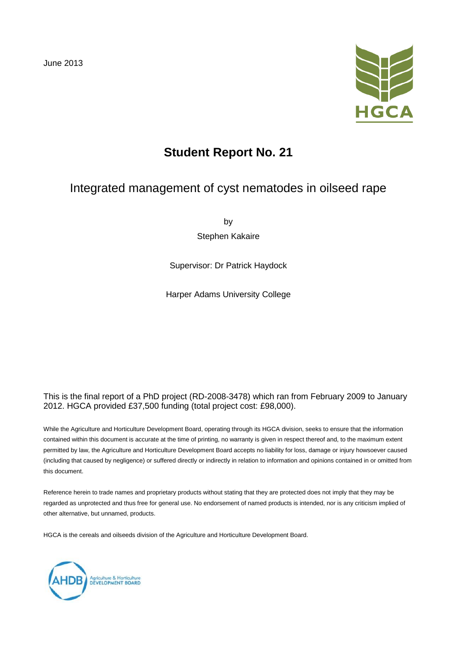

# **Student Report No. 21**

## Integrated management of cyst nematodes in oilseed rape

by

Stephen Kakaire

Supervisor: Dr Patrick Haydock

Harper Adams University College

#### This is the final report of a PhD project (RD-2008-3478) which ran from February 2009 to January 2012. HGCA provided £37,500 funding (total project cost: £98,000).

While the Agriculture and Horticulture Development Board, operating through its HGCA division, seeks to ensure that the information contained within this document is accurate at the time of printing, no warranty is given in respect thereof and, to the maximum extent permitted by law, the Agriculture and Horticulture Development Board accepts no liability for loss, damage or injury howsoever caused (including that caused by negligence) or suffered directly or indirectly in relation to information and opinions contained in or omitted from this document.

Reference herein to trade names and proprietary products without stating that they are protected does not imply that they may be regarded as unprotected and thus free for general use. No endorsement of named products is intended, nor is any criticism implied of other alternative, but unnamed, products.

HGCA is the cereals and oilseeds division of the Agriculture and Horticulture Development Board.

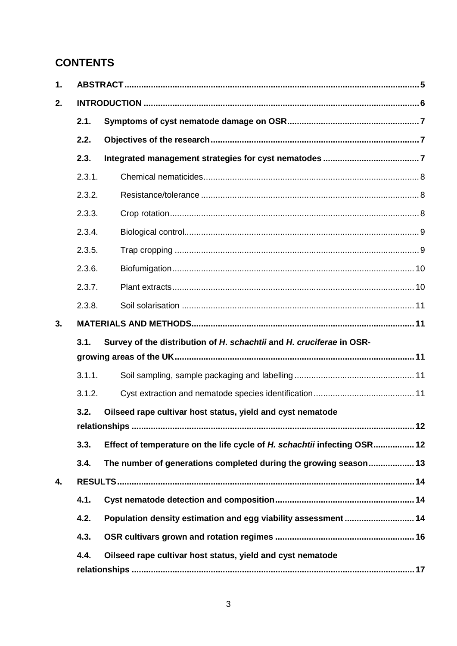## **CONTENTS**

| 1. |        |                                                                          |  |  |  |  |
|----|--------|--------------------------------------------------------------------------|--|--|--|--|
| 2. |        |                                                                          |  |  |  |  |
|    | 2.1.   |                                                                          |  |  |  |  |
|    | 2.2.   |                                                                          |  |  |  |  |
|    | 2.3.   |                                                                          |  |  |  |  |
|    | 2.3.1. |                                                                          |  |  |  |  |
|    | 2.3.2. |                                                                          |  |  |  |  |
|    | 2.3.3. |                                                                          |  |  |  |  |
|    | 2.3.4. |                                                                          |  |  |  |  |
|    | 2.3.5. |                                                                          |  |  |  |  |
|    | 2.3.6. |                                                                          |  |  |  |  |
|    | 2.3.7. |                                                                          |  |  |  |  |
|    | 2.3.8. |                                                                          |  |  |  |  |
| 3. |        |                                                                          |  |  |  |  |
|    | 3.1.   | Survey of the distribution of H. schachtii and H. cruciferae in OSR-     |  |  |  |  |
|    |        |                                                                          |  |  |  |  |
|    | 3.1.1. |                                                                          |  |  |  |  |
|    | 3.1.2. |                                                                          |  |  |  |  |
|    | 3.2.   | Oilseed rape cultivar host status, yield and cyst nematode               |  |  |  |  |
|    |        |                                                                          |  |  |  |  |
|    | 3.3.   | Effect of temperature on the life cycle of H. schachtii infecting OSR 12 |  |  |  |  |
|    | 3.4.   | The number of generations completed during the growing season 13         |  |  |  |  |
| 4. |        |                                                                          |  |  |  |  |
|    | 4.1.   |                                                                          |  |  |  |  |
|    | 4.2.   | Population density estimation and egg viability assessment  14           |  |  |  |  |
|    | 4.3.   |                                                                          |  |  |  |  |
|    | 4.4.   | Oilseed rape cultivar host status, yield and cyst nematode               |  |  |  |  |
|    |        |                                                                          |  |  |  |  |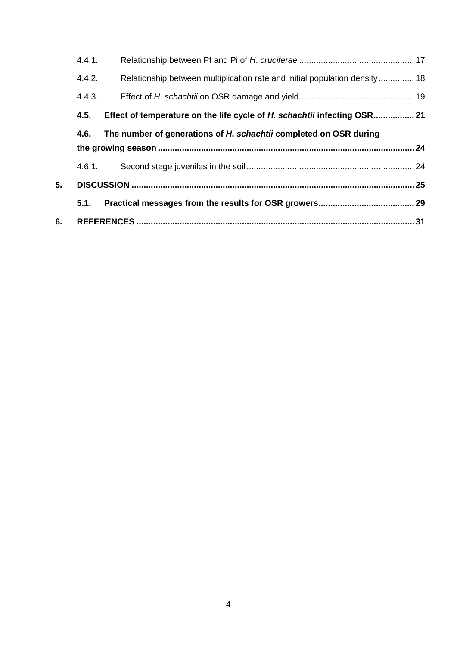|    | 4.4.1.                                                                    |                                                                            |  |  |  |  |  |
|----|---------------------------------------------------------------------------|----------------------------------------------------------------------------|--|--|--|--|--|
|    | 4.4.2.                                                                    | Relationship between multiplication rate and initial population density 18 |  |  |  |  |  |
|    | 4.4.3.                                                                    |                                                                            |  |  |  |  |  |
|    | 4.5.                                                                      | Effect of temperature on the life cycle of H. schachtii infecting OSR 21   |  |  |  |  |  |
|    | The number of generations of H. schachtii completed on OSR during<br>4.6. |                                                                            |  |  |  |  |  |
|    |                                                                           |                                                                            |  |  |  |  |  |
|    | 4.6.1.                                                                    |                                                                            |  |  |  |  |  |
| 5. |                                                                           |                                                                            |  |  |  |  |  |
|    | 5.1.                                                                      |                                                                            |  |  |  |  |  |
| 6. |                                                                           |                                                                            |  |  |  |  |  |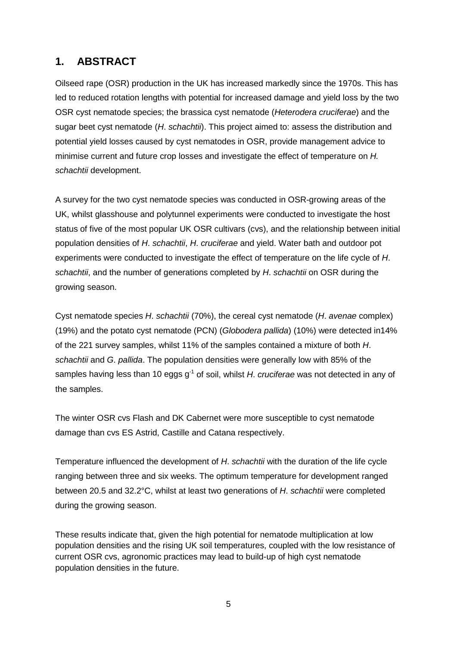## **1. ABSTRACT**

Oilseed rape (OSR) production in the UK has increased markedly since the 1970s. This has led to reduced rotation lengths with potential for increased damage and yield loss by the two OSR cyst nematode species; the brassica cyst nematode (*Heterodera cruciferae*) and the sugar beet cyst nematode (*H*. *schachtii*). This project aimed to: assess the distribution and potential yield losses caused by cyst nematodes in OSR, provide management advice to minimise current and future crop losses and investigate the effect of temperature on *H. schachtii* development.

A survey for the two cyst nematode species was conducted in OSR-growing areas of the UK, whilst glasshouse and polytunnel experiments were conducted to investigate the host status of five of the most popular UK OSR cultivars (cvs), and the relationship between initial population densities of *H*. *schachtii*, *H*. *cruciferae* and yield. Water bath and outdoor pot experiments were conducted to investigate the effect of temperature on the life cycle of *H*. *schachtii*, and the number of generations completed by *H*. *schachtii* on OSR during the growing season.

Cyst nematode species *H*. *schachtii* (70%), the cereal cyst nematode (*H*. *avenae* complex) (19%) and the potato cyst nematode (PCN) (*Globodera pallida*) (10%) were detected in14% of the 221 survey samples, whilst 11% of the samples contained a mixture of both *H*. *schachtii* and *G*. *pallida*. The population densities were generally low with 85% of the samples having less than 10 eggs g<sup>-1</sup> of soil, whilst *H. cruciferae* was not detected in any of the samples.

The winter OSR cvs Flash and DK Cabernet were more susceptible to cyst nematode damage than cvs ES Astrid, Castille and Catana respectively.

Temperature influenced the development of *H*. *schachtii* with the duration of the life cycle ranging between three and six weeks. The optimum temperature for development ranged between 20.5 and 32.2°C, whilst at least two generations of *H*. *schachtii* were completed during the growing season.

These results indicate that, given the high potential for nematode multiplication at low population densities and the rising UK soil temperatures, coupled with the low resistance of current OSR cvs, agronomic practices may lead to build-up of high cyst nematode population densities in the future.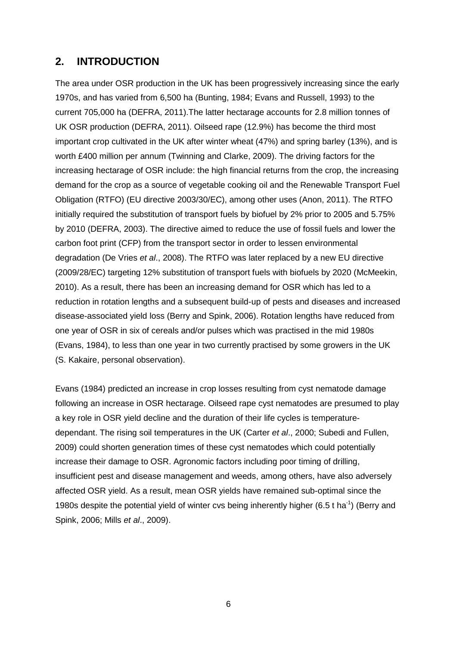## **2. INTRODUCTION**

The area under OSR production in the UK has been progressively increasing since the early 1970s, and has varied from 6,500 ha (Bunting, 1984; Evans and Russell, 1993) to the current 705,000 ha (DEFRA, 2011).The latter hectarage accounts for 2.8 million tonnes of UK OSR production (DEFRA, 2011). Oilseed rape (12.9%) has become the third most important crop cultivated in the UK after winter wheat (47%) and spring barley (13%), and is worth £400 million per annum (Twinning and Clarke, 2009). The driving factors for the increasing hectarage of OSR include: the high financial returns from the crop, the increasing demand for the crop as a source of vegetable cooking oil and the Renewable Transport Fuel Obligation (RTFO) (EU directive 2003/30/EC), among other uses (Anon, 2011). The RTFO initially required the substitution of transport fuels by biofuel by 2% prior to 2005 and 5.75% by 2010 (DEFRA, 2003). The directive aimed to reduce the use of fossil fuels and lower the carbon foot print (CFP) from the transport sector in order to lessen environmental degradation (De Vries *et al*., 2008). The RTFO was later replaced by a new EU directive (2009/28/EC) targeting 12% substitution of transport fuels with biofuels by 2020 (McMeekin, 2010). As a result, there has been an increasing demand for OSR which has led to a reduction in rotation lengths and a subsequent build-up of pests and diseases and increased disease-associated yield loss (Berry and Spink, 2006). Rotation lengths have reduced from one year of OSR in six of cereals and/or pulses which was practised in the mid 1980s (Evans, 1984), to less than one year in two currently practised by some growers in the UK (S. Kakaire, personal observation).

Evans (1984) predicted an increase in crop losses resulting from cyst nematode damage following an increase in OSR hectarage. Oilseed rape cyst nematodes are presumed to play a key role in OSR yield decline and the duration of their life cycles is temperaturedependant. The rising soil temperatures in the UK (Carter *et al*., 2000; Subedi and Fullen, 2009) could shorten generation times of these cyst nematodes which could potentially increase their damage to OSR. Agronomic factors including poor timing of drilling, insufficient pest and disease management and weeds, among others, have also adversely affected OSR yield. As a result, mean OSR yields have remained sub-optimal since the 1980s despite the potential yield of winter cvs being inherently higher (6.5 t ha<sup>-1</sup>) (Berry and Spink, 2006; Mills *et al*., 2009).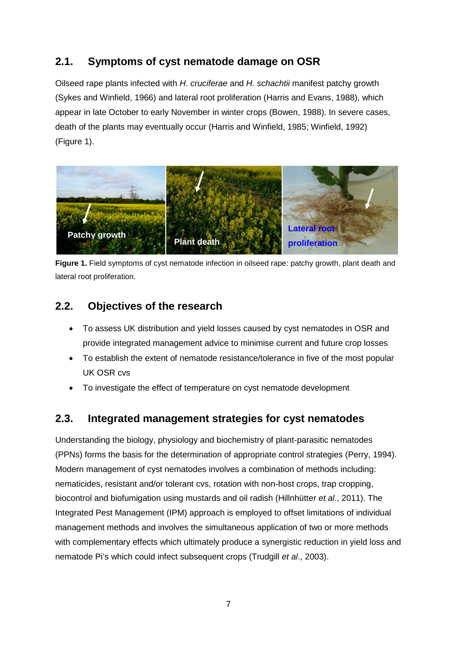## **2.1. Symptoms of cyst nematode damage on OSR**

Oilseed rape plants infected with *H*. *cruciferae* and *H. schachtii* manifest patchy growth (Sykes and Winfield, 1966) and lateral root proliferation (Harris and Evans, 1988), which appear in late October to early November in winter crops (Bowen, 1988). In severe cases, death of the plants may eventually occur (Harris and Winfield, 1985; Winfield, 1992) (Figure 1).



**Figure 1.** Field symptoms of cyst nematode infection in oilseed rape: patchy growth, plant death and lateral root proliferation.

## **2.2. Objectives of the research**

- To assess UK distribution and yield losses caused by cyst nematodes in OSR and provide integrated management advice to minimise current and future crop losses
- To establish the extent of nematode resistance/tolerance in five of the most popular UK OSR cvs
- To investigate the effect of temperature on cyst nematode development

## **2.3. Integrated management strategies for cyst nematodes**

Understanding the biology, physiology and biochemistry of plant-parasitic nematodes (PPNs) forms the basis for the determination of appropriate control strategies (Perry, 1994). Modern management of cyst nematodes involves a combination of methods including: nematicides, resistant and/or tolerant cvs, rotation with non-host crops, trap cropping, biocontrol and biofumigation using mustards and oil radish (Hillnhütter *et al*., 2011). The Integrated Pest Management (IPM) approach is employed to offset limitations of individual management methods and involves the simultaneous application of two or more methods with complementary effects which ultimately produce a synergistic reduction in yield loss and nematode Pi's which could infect subsequent crops (Trudgill *et al*., 2003).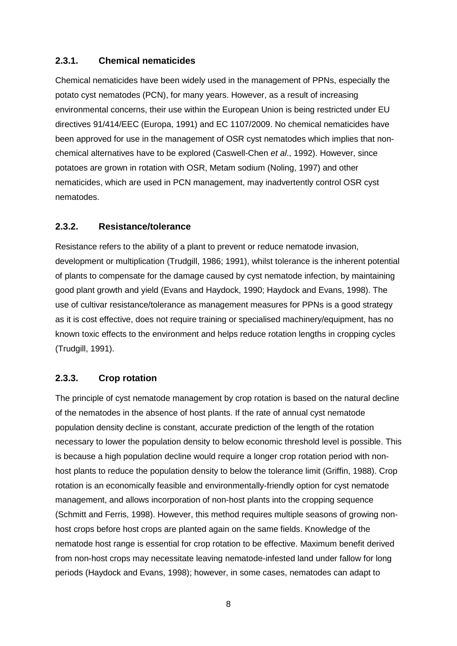#### **2.3.1. Chemical nematicides**

Chemical nematicides have been widely used in the management of PPNs, especially the potato cyst nematodes (PCN), for many years. However, as a result of increasing environmental concerns, their use within the European Union is being restricted under EU directives 91/414/EEC (Europa, 1991) and EC 1107/2009. No chemical nematicides have been approved for use in the management of OSR cyst nematodes which implies that nonchemical alternatives have to be explored (Caswell-Chen *et al*., 1992). However, since potatoes are grown in rotation with OSR, Metam sodium (Noling, 1997) and other nematicides, which are used in PCN management, may inadvertently control OSR cyst nematodes.

#### **2.3.2. Resistance/tolerance**

Resistance refers to the ability of a plant to prevent or reduce nematode invasion, development or multiplication (Trudgill, 1986; 1991), whilst tolerance is the inherent potential of plants to compensate for the damage caused by cyst nematode infection, by maintaining good plant growth and yield (Evans and Haydock, 1990; Haydock and Evans, 1998). The use of cultivar resistance/tolerance as management measures for PPNs is a good strategy as it is cost effective, does not require training or specialised machinery/equipment, has no known toxic effects to the environment and helps reduce rotation lengths in cropping cycles (Trudgill, 1991).

### **2.3.3. Crop rotation**

The principle of cyst nematode management by crop rotation is based on the natural decline of the nematodes in the absence of host plants. If the rate of annual cyst nematode population density decline is constant, accurate prediction of the length of the rotation necessary to lower the population density to below economic threshold level is possible. This is because a high population decline would require a longer crop rotation period with nonhost plants to reduce the population density to below the tolerance limit (Griffin, 1988). Crop rotation is an economically feasible and environmentally-friendly option for cyst nematode management, and allows incorporation of non-host plants into the cropping sequence (Schmitt and Ferris, 1998). However, this method requires multiple seasons of growing nonhost crops before host crops are planted again on the same fields. Knowledge of the nematode host range is essential for crop rotation to be effective. Maximum benefit derived from non-host crops may necessitate leaving nematode-infested land under fallow for long periods (Haydock and Evans, 1998); however, in some cases, nematodes can adapt to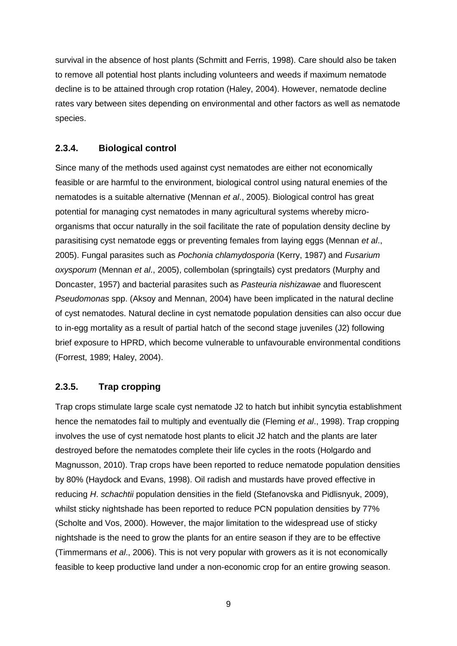survival in the absence of host plants (Schmitt and Ferris, 1998). Care should also be taken to remove all potential host plants including volunteers and weeds if maximum nematode decline is to be attained through crop rotation (Haley, 2004). However, nematode decline rates vary between sites depending on environmental and other factors as well as nematode species.

#### **2.3.4. Biological control**

Since many of the methods used against cyst nematodes are either not economically feasible or are harmful to the environment, biological control using natural enemies of the nematodes is a suitable alternative (Mennan *et al*., 2005). Biological control has great potential for managing cyst nematodes in many agricultural systems whereby microorganisms that occur naturally in the soil facilitate the rate of population density decline by parasitising cyst nematode eggs or preventing females from laying eggs (Mennan *et al*., 2005). Fungal parasites such as *Pochonia chlamydosporia* (Kerry, 1987) and *Fusarium oxysporum* (Mennan *et al*., 2005), collembolan (springtails) cyst predators (Murphy and Doncaster, 1957) and bacterial parasites such as *Pasteuria nishizawae* and fluorescent *Pseudomonas* spp. (Aksoy and Mennan, 2004) have been implicated in the natural decline of cyst nematodes. Natural decline in cyst nematode population densities can also occur due to in-egg mortality as a result of partial hatch of the second stage juveniles (J2) following brief exposure to HPRD, which become vulnerable to unfavourable environmental conditions (Forrest, 1989; Haley, 2004).

#### **2.3.5. Trap cropping**

Trap crops stimulate large scale cyst nematode J2 to hatch but inhibit syncytia establishment hence the nematodes fail to multiply and eventually die (Fleming *et al*., 1998). Trap cropping involves the use of cyst nematode host plants to elicit J2 hatch and the plants are later destroyed before the nematodes complete their life cycles in the roots (Holgardo and Magnusson, 2010). Trap crops have been reported to reduce nematode population densities by 80% (Haydock and Evans, 1998). Oil radish and mustards have proved effective in reducing *H*. *schachtii* population densities in the field (Stefanovska and Pidlisnyuk, 2009), whilst sticky nightshade has been reported to reduce PCN population densities by 77% (Scholte and Vos, 2000). However, the major limitation to the widespread use of sticky nightshade is the need to grow the plants for an entire season if they are to be effective (Timmermans *et al*., 2006). This is not very popular with growers as it is not economically feasible to keep productive land under a non-economic crop for an entire growing season.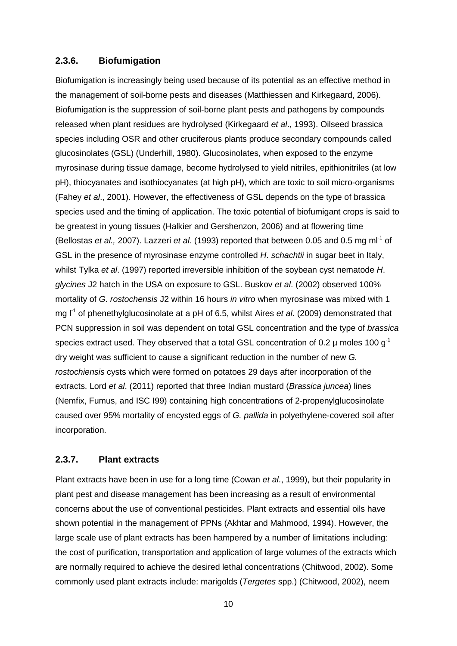#### **2.3.6. Biofumigation**

Biofumigation is increasingly being used because of its potential as an effective method in the management of soil-borne pests and diseases (Matthiessen and Kirkegaard, 2006). Biofumigation is the suppression of soil-borne plant pests and pathogens by compounds released when plant residues are hydrolysed (Kirkegaard *et al*., 1993). Oilseed brassica species including OSR and other cruciferous plants produce secondary compounds called glucosinolates (GSL) (Underhill, 1980). Glucosinolates, when exposed to the enzyme myrosinase during tissue damage, become hydrolysed to yield nitriles, epithionitriles (at low pH), thiocyanates and isothiocyanates (at high pH), which are toxic to soil micro-organisms (Fahey *et al*., 2001). However, the effectiveness of GSL depends on the type of brassica species used and the timing of application. The toxic potential of biofumigant crops is said to be greatest in young tissues (Halkier and Gershenzon, 2006) and at flowering time (Bellostas *et al.,* 2007). Lazzeri *et al*. (1993) reported that between 0.05 and 0.5 mg ml-1 of GSL in the presence of myrosinase enzyme controlled *H*. *schachtii* in sugar beet in Italy, whilst Tylka *et al*. (1997) reported irreversible inhibition of the soybean cyst nematode *H*. *glycines* J2 hatch in the USA on exposure to GSL. Buskov *et al*. (2002) observed 100% mortality of *G. rostochensis* J2 within 16 hours *in vitro* when myrosinase was mixed with 1 mg  $I^1$  of phenethylglucosinolate at a pH of 6.5, whilst Aires *et al.* (2009) demonstrated that PCN suppression in soil was dependent on total GSL concentration and the type of *brassica* species extract used. They observed that a total GSL concentration of 0.2  $\mu$  moles 100 g<sup>-1</sup> dry weight was sufficient to cause a significant reduction in the number of new *G. rostochiensis* cysts which were formed on potatoes 29 days after incorporation of the extracts. Lord *et al*. (2011) reported that three Indian mustard (*Brassica juncea*) lines (Nemfix, Fumus, and ISC I99) containing high concentrations of 2-propenylglucosinolate caused over 95% mortality of encysted eggs of *G. pallida* in polyethylene-covered soil after incorporation.

#### **2.3.7. Plant extracts**

Plant extracts have been in use for a long time (Cowan *et al*., 1999), but their popularity in plant pest and disease management has been increasing as a result of environmental concerns about the use of conventional pesticides. Plant extracts and essential oils have shown potential in the management of PPNs (Akhtar and Mahmood, 1994). However, the large scale use of plant extracts has been hampered by a number of limitations including: the cost of purification, transportation and application of large volumes of the extracts which are normally required to achieve the desired lethal concentrations (Chitwood, 2002). Some commonly used plant extracts include: marigolds (*Tergetes* spp.) (Chitwood, 2002), neem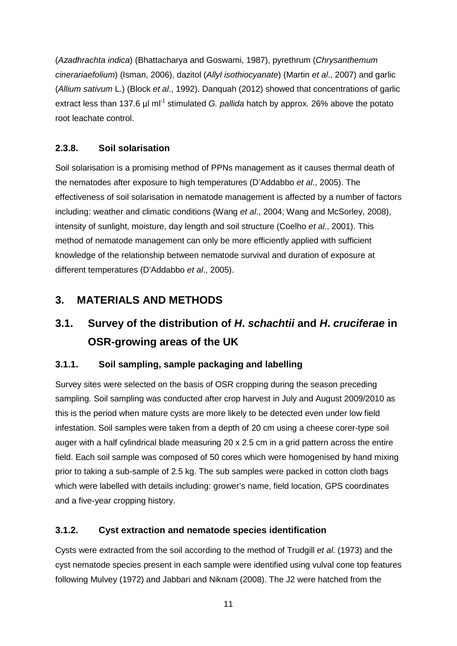(*Azadhrachta indica*) (Bhattacharya and Goswami, 1987), pyrethrum (*Chrysanthemum cinerariaefolium*) (Isman, 2006), dazitol (*Allyl isothiocyanate*) (Martin *et al*., 2007) and garlic (*Allium sativum* L.) (Block *et al*., 1992). Danquah (2012) showed that concentrations of garlic extract less than 137.6 µl ml<sup>-1</sup> stimulated *G. pallida* hatch by approx. 26% above the potato root leachate control.

### **2.3.8. Soil solarisation**

Soil solarisation is a promising method of PPNs management as it causes thermal death of the nematodes after exposure to high temperatures (D'Addabbo *et al*., 2005). The effectiveness of soil solarisation in nematode management is affected by a number of factors including: weather and climatic conditions (Wang *et al*., 2004; Wang and McSorley, 2008), intensity of sunlight, moisture, day length and soil structure (Coelho *et al*., 2001). This method of nematode management can only be more efficiently applied with sufficient knowledge of the relationship between nematode survival and duration of exposure at different temperatures (D'Addabbo *et al*., 2005).

## **3. MATERIALS AND METHODS**

# **3.1. Survey of the distribution of** *H***.** *schachtii* **and** *H***.** *cruciferae* **in OSR-growing areas of the UK**

### **3.1.1. Soil sampling, sample packaging and labelling**

Survey sites were selected on the basis of OSR cropping during the season preceding sampling. Soil sampling was conducted after crop harvest in July and August 2009/2010 as this is the period when mature cysts are more likely to be detected even under low field infestation. Soil samples were taken from a depth of 20 cm using a cheese corer-type soil auger with a half cylindrical blade measuring 20 x 2.5 cm in a grid pattern across the entire field. Each soil sample was composed of 50 cores which were homogenised by hand mixing prior to taking a sub-sample of 2.5 kg. The sub samples were packed in cotton cloth bags which were labelled with details including: grower's name, field location, GPS coordinates and a five-year cropping history.

### **3.1.2. Cyst extraction and nematode species identification**

Cysts were extracted from the soil according to the method of Trudgill *et al*. (1973) and the cyst nematode species present in each sample were identified using vulval cone top features following Mulvey (1972) and Jabbari and Niknam (2008). The J2 were hatched from the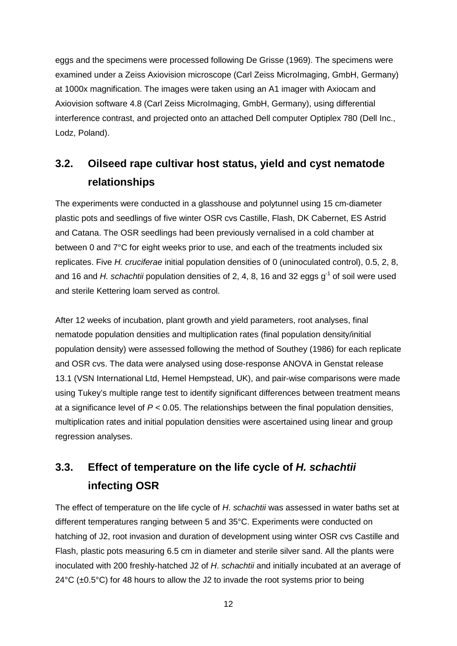eggs and the specimens were processed following De Grisse (1969). The specimens were examined under a Zeiss Axiovision microscope (Carl Zeiss MicroImaging, GmbH, Germany) at 1000x magnification. The images were taken using an A1 imager with Axiocam and Axiovision software 4.8 (Carl Zeiss MicroImaging, GmbH, Germany), using differential interference contrast, and projected onto an attached Dell computer Optiplex 780 (Dell Inc., Lodz, Poland).

# **3.2. Oilseed rape cultivar host status, yield and cyst nematode relationships**

The experiments were conducted in a glasshouse and polytunnel using 15 cm-diameter plastic pots and seedlings of five winter OSR cvs Castille, Flash, DK Cabernet, ES Astrid and Catana. The OSR seedlings had been previously vernalised in a cold chamber at between 0 and 7°C for eight weeks prior to use, and each of the treatments included six replicates. Five *H. cruciferae* initial population densities of 0 (uninoculated control), 0.5, 2, 8, and 16 and *H. schachtii* population densities of 2, 4, 8, 16 and 32 eggs g<sup>-1</sup> of soil were used and sterile Kettering loam served as control.

After 12 weeks of incubation, plant growth and yield parameters, root analyses, final nematode population densities and multiplication rates (final population density/initial population density) were assessed following the method of Southey (1986) for each replicate and OSR cvs. The data were analysed using dose-response ANOVA in Genstat release 13.1 (VSN International Ltd, Hemel Hempstead, UK), and pair-wise comparisons were made using Tukey's multiple range test to identify significant differences between treatment means at a significance level of  $P < 0.05$ . The relationships between the final population densities, multiplication rates and initial population densities were ascertained using linear and group regression analyses.

# **3.3. Effect of temperature on the life cycle of** *H. schachtii* **infecting OSR**

The effect of temperature on the life cycle of *H*. *schachtii* was assessed in water baths set at different temperatures ranging between 5 and 35°C. Experiments were conducted on hatching of J2, root invasion and duration of development using winter OSR cvs Castille and Flash, plastic pots measuring 6.5 cm in diameter and sterile silver sand. All the plants were inoculated with 200 freshly-hatched J2 of *H*. *schachtii* and initially incubated at an average of  $24^{\circ}$ C ( $\pm$ 0.5°C) for 48 hours to allow the J2 to invade the root systems prior to being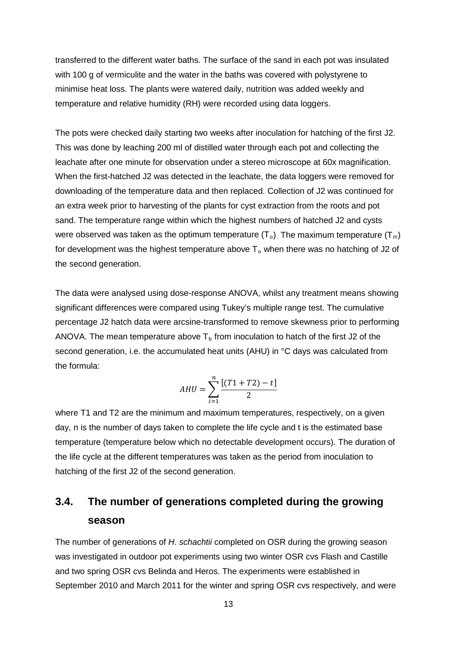transferred to the different water baths. The surface of the sand in each pot was insulated with 100 g of vermiculite and the water in the baths was covered with polystyrene to minimise heat loss. The plants were watered daily, nutrition was added weekly and temperature and relative humidity (RH) were recorded using data loggers.

The pots were checked daily starting two weeks after inoculation for hatching of the first J2. This was done by leaching 200 ml of distilled water through each pot and collecting the leachate after one minute for observation under a stereo microscope at 60x magnification. When the first-hatched J2 was detected in the leachate, the data loggers were removed for downloading of the temperature data and then replaced. Collection of J2 was continued for an extra week prior to harvesting of the plants for cyst extraction from the roots and pot sand. The temperature range within which the highest numbers of hatched J2 and cysts were observed was taken as the optimum temperature  $(T_0)$ . The maximum temperature  $(T_m)$ for development was the highest temperature above  $T_0$  when there was no hatching of J2 of the second generation.

The data were analysed using dose-response ANOVA, whilst any treatment means showing significant differences were compared using Tukey's multiple range test. The cumulative percentage J2 hatch data were arcsine-transformed to remove skewness prior to performing ANOVA. The mean temperature above  $T<sub>b</sub>$  from inoculation to hatch of the first J2 of the second generation, i.e. the accumulated heat units (AHU) in °C days was calculated from the formula:

$$
AHU = \sum_{i=1}^{n} \frac{[(T1 + T2) - t]}{2}
$$

where T1 and T2 are the minimum and maximum temperatures, respectively, on a given day, n is the number of days taken to complete the life cycle and t is the estimated base temperature (temperature below which no detectable development occurs). The duration of the life cycle at the different temperatures was taken as the period from inoculation to hatching of the first J2 of the second generation.

## **3.4. The number of generations completed during the growing season**

The number of generations of *H*. *schachtii* completed on OSR during the growing season was investigated in outdoor pot experiments using two winter OSR cvs Flash and Castille and two spring OSR cvs Belinda and Heros. The experiments were established in September 2010 and March 2011 for the winter and spring OSR cvs respectively, and were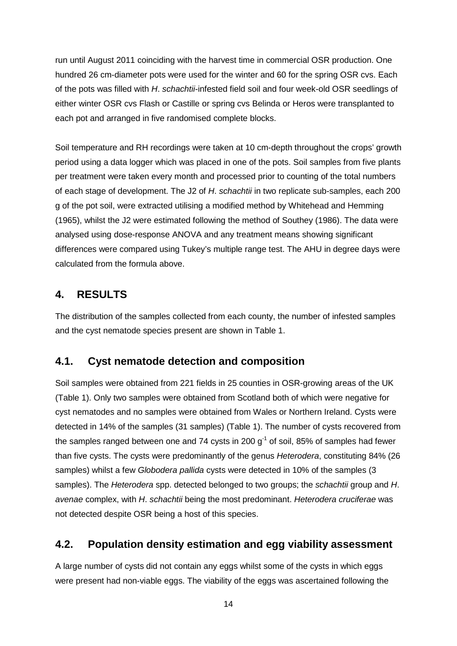run until August 2011 coinciding with the harvest time in commercial OSR production. One hundred 26 cm-diameter pots were used for the winter and 60 for the spring OSR cvs. Each of the pots was filled with *H*. *schachtii*-infested field soil and four week-old OSR seedlings of either winter OSR cvs Flash or Castille or spring cvs Belinda or Heros were transplanted to each pot and arranged in five randomised complete blocks.

Soil temperature and RH recordings were taken at 10 cm-depth throughout the crops' growth period using a data logger which was placed in one of the pots. Soil samples from five plants per treatment were taken every month and processed prior to counting of the total numbers of each stage of development. The J2 of *H*. *schachtii* in two replicate sub-samples, each 200 g of the pot soil, were extracted utilising a modified method by Whitehead and Hemming (1965), whilst the J2 were estimated following the method of Southey (1986). The data were analysed using dose-response ANOVA and any treatment means showing significant differences were compared using Tukey's multiple range test. The AHU in degree days were calculated from the formula above.

### **4. RESULTS**

The distribution of the samples collected from each county, the number of infested samples and the cyst nematode species present are shown in Table 1.

### **4.1. Cyst nematode detection and composition**

Soil samples were obtained from 221 fields in 25 counties in OSR-growing areas of the UK (Table 1). Only two samples were obtained from Scotland both of which were negative for cyst nematodes and no samples were obtained from Wales or Northern Ireland. Cysts were detected in 14% of the samples (31 samples) (Table 1). The number of cysts recovered from the samples ranged between one and 74 cysts in 200  $q^{-1}$  of soil, 85% of samples had fewer than five cysts. The cysts were predominantly of the genus *Heterodera*, constituting 84% (26 samples) whilst a few *Globodera pallida* cysts were detected in 10% of the samples (3 samples). The *Heterodera* spp. detected belonged to two groups; the *schachtii* group and *H*. *avenae* complex, with *H*. *schachtii* being the most predominant. *Heterodera cruciferae* was not detected despite OSR being a host of this species.

## **4.2. Population density estimation and egg viability assessment**

A large number of cysts did not contain any eggs whilst some of the cysts in which eggs were present had non-viable eggs. The viability of the eggs was ascertained following the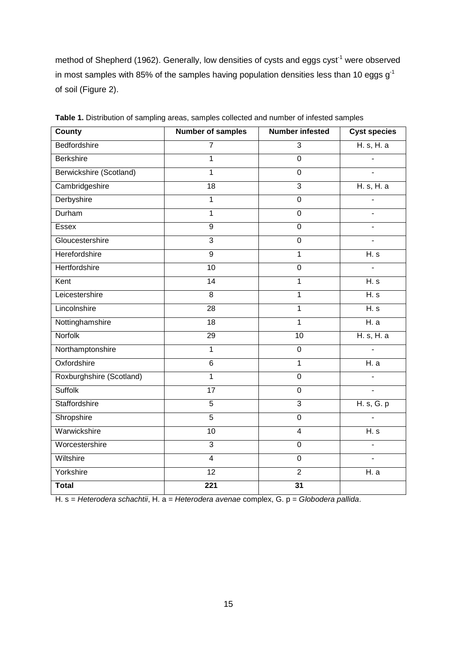method of Shepherd (1962). Generally, low densities of cysts and eggs  $cyst<sup>-1</sup>$  were observed in most samples with 85% of the samples having population densities less than 10 eggs  $g^{-1}$ of soil (Figure 2).

| <b>County</b>            | <b>Number of samples</b> | <b>Number infested</b> | <b>Cyst species</b> |
|--------------------------|--------------------------|------------------------|---------------------|
| Bedfordshire             | 7                        | 3                      | H. s. H. a          |
| <b>Berkshire</b>         | $\mathbf{1}$             | $\overline{0}$         |                     |
| Berwickshire (Scotland)  | $\mathbf{1}$             | $\mathbf 0$            |                     |
| Cambridgeshire           | 18                       | $\overline{3}$         | H. s, H. a          |
| Derbyshire               | $\mathbf{1}$             | $\overline{0}$         |                     |
| Durham                   | $\mathbf 1$              | $\mathbf 0$            |                     |
| <b>Essex</b>             | $\overline{9}$           | $\overline{0}$         |                     |
| Gloucestershire          | $\overline{3}$           | $\overline{0}$         |                     |
| Herefordshire            | $\overline{9}$           | $\overline{1}$         | H. s                |
| Hertfordshire            | 10                       | $\overline{0}$         |                     |
| Kent                     | $\overline{14}$          | $\overline{1}$         | H. s                |
| Leicestershire           | 8                        | $\overline{1}$         | H. s                |
| Lincolnshire             | 28                       | $\mathbf 1$            | H. s                |
| Nottinghamshire          | $\overline{18}$          | $\overline{1}$         | H. a                |
| Norfolk                  | 29                       | 10                     | H. s, H. a          |
| Northamptonshire         | 1                        | $\boldsymbol{0}$       |                     |
| Oxfordshire              | 6                        | $\mathbf{1}$           | H. a                |
| Roxburghshire (Scotland) | $\mathbf{1}$             | $\mathbf 0$            |                     |
| <b>Suffolk</b>           | $\overline{17}$          | $\overline{0}$         | L.                  |
| Staffordshire            | $\overline{5}$           | $\overline{3}$         | H. s, G. p          |
| Shropshire               | $\overline{5}$           | $\mathbf 0$            |                     |
| Warwickshire             | 10                       | $\overline{4}$         | H. s                |
| Worcestershire           | $\overline{3}$           | $\overline{0}$         |                     |
| Wiltshire                | $\overline{4}$           | $\overline{0}$         | $\overline{a}$      |
| Yorkshire                | 12                       | $\overline{2}$         | H. a                |
| <b>Total</b>             | 221                      | $\overline{31}$        |                     |

**Table 1.** Distribution of sampling areas, samples collected and number of infested samples

H. s = *Heterodera schachtii*, H. a = *Heterodera avenae* complex, G. p = *Globodera pallida*.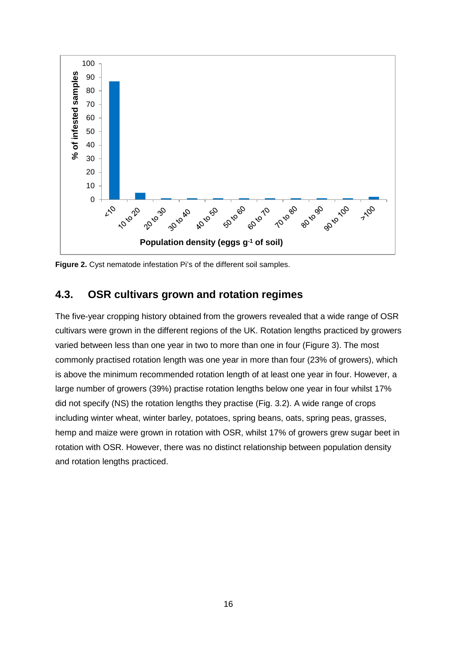

**Figure 2.** Cyst nematode infestation Pi's of the different soil samples.

### **4.3. OSR cultivars grown and rotation regimes**

The five-year cropping history obtained from the growers revealed that a wide range of OSR cultivars were grown in the different regions of the UK. Rotation lengths practiced by growers varied between less than one year in two to more than one in four (Figure 3). The most commonly practised rotation length was one year in more than four (23% of growers), which is above the minimum recommended rotation length of at least one year in four. However, a large number of growers (39%) practise rotation lengths below one year in four whilst 17% did not specify (NS) the rotation lengths they practise (Fig. 3.2). A wide range of crops including winter wheat, winter barley, potatoes, spring beans, oats, spring peas, grasses, hemp and maize were grown in rotation with OSR, whilst 17% of growers grew sugar beet in rotation with OSR. However, there was no distinct relationship between population density and rotation lengths practiced.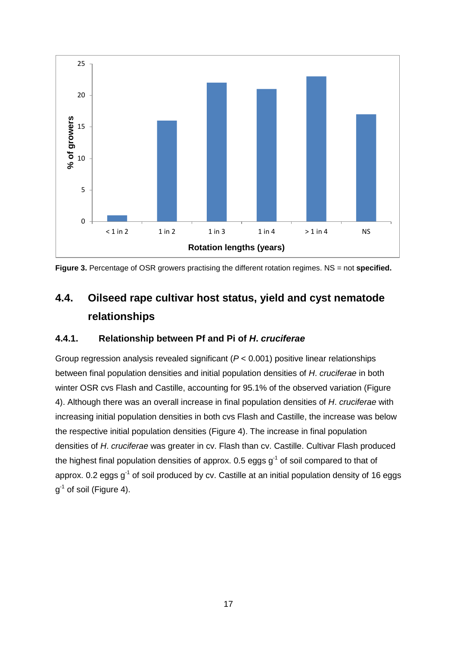

**Figure 3.** Percentage of OSR growers practising the different rotation regimes. NS = not **specified.**

# **4.4. Oilseed rape cultivar host status, yield and cyst nematode relationships**

#### **4.4.1. Relationship between Pf and Pi of** *H***.** *cruciferae*

Group regression analysis revealed significant (*P* < 0.001) positive linear relationships between final population densities and initial population densities of *H*. *cruciferae* in both winter OSR cvs Flash and Castille, accounting for 95.1% of the observed variation (Figure 4). Although there was an overall increase in final population densities of *H*. *cruciferae* with increasing initial population densities in both cvs Flash and Castille, the increase was below the respective initial population densities (Figure 4). The increase in final population densities of *H*. *cruciferae* was greater in cv. Flash than cv. Castille. Cultivar Flash produced the highest final population densities of approx. 0.5 eggs  $q^{-1}$  of soil compared to that of approx. 0.2 eggs  $q^{-1}$  of soil produced by cv. Castille at an initial population density of 16 eggs  $q^{-1}$  of soil (Figure 4).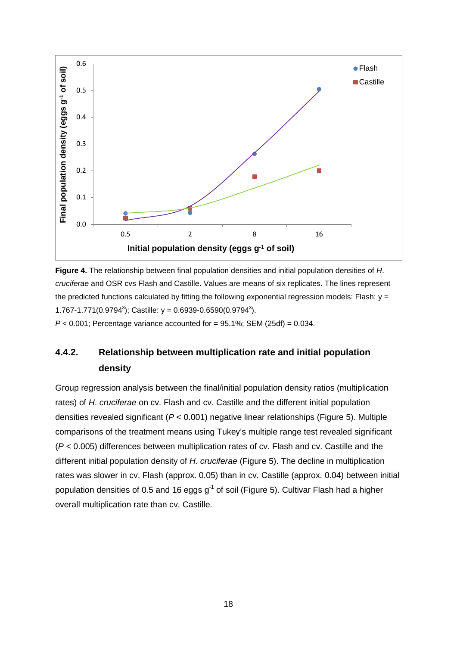

**Figure 4.** The relationship between final population densities and initial population densities of *H*. *cruciferae* and OSR cvs Flash and Castille. Values are means of six replicates. The lines represent the predicted functions calculated by fitting the following exponential regression models: Flash:  $y =$  $1.767 - 1.771(0.9794^x)$ ; Castille:  $y = 0.6939 - 0.6590(0.9794^x)$ .

 $P < 0.001$ ; Percentage variance accounted for = 95.1%; SEM (25df) =  $0.034$ .

### **4.4.2. Relationship between multiplication rate and initial population density**

Group regression analysis between the final/initial population density ratios (multiplication rates) of *H*. *cruciferae* on cv. Flash and cv. Castille and the different initial population densities revealed significant (*P* < 0.001) negative linear relationships (Figure 5). Multiple comparisons of the treatment means using Tukey's multiple range test revealed significant (*P* < 0.005) differences between multiplication rates of cv. Flash and cv. Castille and the different initial population density of *H*. *cruciferae* (Figure 5). The decline in multiplication rates was slower in cv. Flash (approx. 0.05) than in cv. Castille (approx. 0.04) between initial population densities of 0.5 and 16 eggs  $g^{-1}$  of soil (Figure 5). Cultivar Flash had a higher overall multiplication rate than cv. Castille.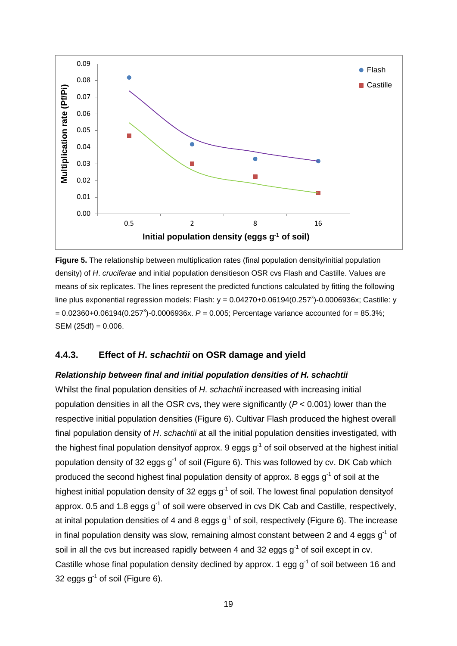

**Figure 5.** The relationship between multiplication rates (final population density/initial population density) of *H*. *cruciferae* and initial population densitieson OSR cvs Flash and Castille. Values are means of six replicates. The lines represent the predicted functions calculated by fitting the following line plus exponential regression models: Flash:  $y = 0.04270+0.06194(0.257<sup>x</sup>)-0.0006936x$ ; Castille: y  $= 0.02360 + 0.06194(0.257^{x}) - 0.0006936x$ .  $P = 0.005$ ; Percentage variance accounted for  $= 85.3\%$ ;  $SEM (25df) = 0.006.$ 

#### **4.4.3. Effect of** *H***.** *schachtii* **on OSR damage and yield**

#### *Relationship between final and initial population densities of H. schachtii*

Whilst the final population densities of *H*. *schachtii* increased with increasing initial population densities in all the OSR cvs, they were significantly (*P* < 0.001) lower than the respective initial population densities (Figure 6). Cultivar Flash produced the highest overall final population density of *H*. *schachtii* at all the initial population densities investigated, with the highest final population density of approx. 9 eggs  $g<sup>-1</sup>$  of soil observed at the highest initial population density of 32 eggs  $q^{-1}$  of soil (Figure 6). This was followed by cv. DK Cab which produced the second highest final population density of approx. 8 eggs  $q<sup>-1</sup>$  of soil at the highest initial population density of 32 eggs  $g<sup>-1</sup>$  of soil. The lowest final population density of approx. 0.5 and 1.8 eggs  $q^{-1}$  of soil were observed in cvs DK Cab and Castille, respectively, at inital population densities of 4 and 8 eggs  $q^{-1}$  of soil, respectively (Figure 6). The increase in final population density was slow, remaining almost constant between 2 and 4 eggs  $q^{-1}$  of soil in all the cvs but increased rapidly between 4 and 32 eggs  $q^{-1}$  of soil except in cv. Castille whose final population density declined by approx. 1 egg  $q^{-1}$  of soil between 16 and 32 eggs  $q^{-1}$  of soil (Figure 6).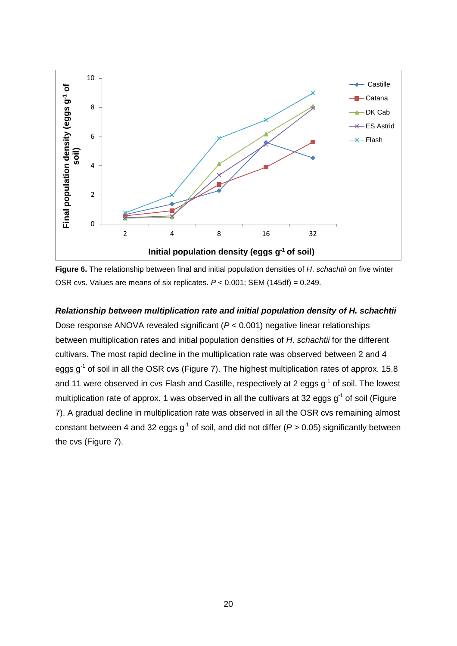

**Figure 6.** The relationship between final and initial population densities of *H*. *schachtii* on five winter OSR cvs. Values are means of six replicates. *P* < 0.001; SEM (145df) = 0.249.

## *Relationship between multiplication rate and initial population density of H. schachtii* Dose response ANOVA revealed significant (*P* < 0.001) negative linear relationships between multiplication rates and initial population densities of *H*. *schachtii* for the different cultivars. The most rapid decline in the multiplication rate was observed between 2 and 4 eggs  $g^{-1}$  of soil in all the OSR cvs (Figure 7). The highest multiplication rates of approx. 15.8 and 11 were observed in cvs Flash and Castille, respectively at 2 eggs  $g^{-1}$  of soil. The lowest multiplication rate of approx. 1 was observed in all the cultivars at 32 eggs  $g<sup>-1</sup>$  of soil (Figure 7). A gradual decline in multiplication rate was observed in all the OSR cvs remaining almost constant between 4 and 32 eggs  $g^{-1}$  of soil, and did not differ ( $P > 0.05$ ) significantly between the cvs (Figure 7).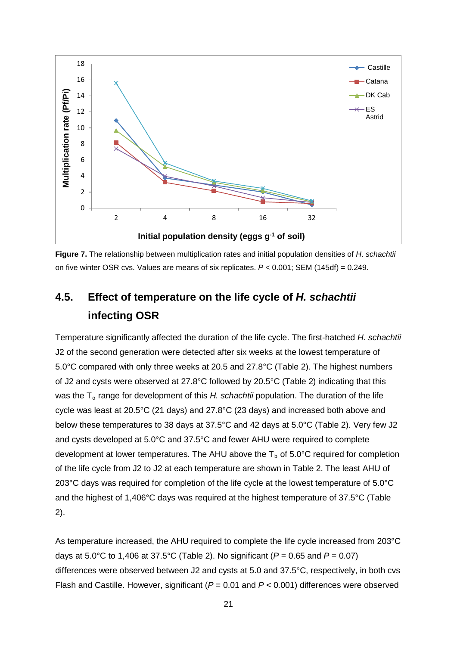

**Figure 7.** The relationship between multiplication rates and initial population densities of *H*. *schachtii* on five winter OSR cvs. Values are means of six replicates. *P* < 0.001; SEM (145df) = 0.249.

# **4.5. Effect of temperature on the life cycle of** *H. schachtii* **infecting OSR**

Temperature significantly affected the duration of the life cycle. The first-hatched *H*. *schachtii* J2 of the second generation were detected after six weeks at the lowest temperature of 5.0°C compared with only three weeks at 20.5 and 27.8°C (Table 2). The highest numbers of J2 and cysts were observed at 27.8°C followed by 20.5°C (Table 2) indicating that this was the T<sub>o</sub> range for development of this *H. schachtii* population. The duration of the life cycle was least at 20.5°C (21 days) and 27.8°C (23 days) and increased both above and below these temperatures to 38 days at 37.5°C and 42 days at 5.0°C (Table 2). Very few J2 and cysts developed at 5.0°C and 37.5°C and fewer AHU were required to complete development at lower temperatures. The AHU above the  $T_b$  of 5.0°C required for completion of the life cycle from J2 to J2 at each temperature are shown in Table 2. The least AHU of 203°C days was required for completion of the life cycle at the lowest temperature of 5.0°C and the highest of 1,406°C days was required at the highest temperature of 37.5°C (Table 2).

As temperature increased, the AHU required to complete the life cycle increased from 203°C days at 5.0°C to 1,406 at 37.5°C (Table 2). No significant (*P* = 0.65 and *P* = 0.07) differences were observed between J2 and cysts at 5.0 and 37.5°C, respectively, in both cvs Flash and Castille. However, significant (*P* = 0.01 and *P <* 0.001) differences were observed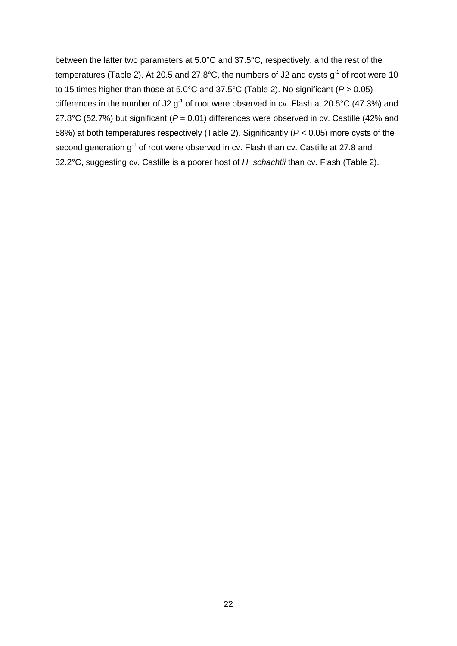between the latter two parameters at 5.0°C and 37.5°C, respectively, and the rest of the temperatures (Table 2). At 20.5 and 27.8°C, the numbers of J2 and cysts  $g^{-1}$  of root were 10 to 15 times higher than those at 5.0°C and 37.5°C (Table 2). No significant (*P* > 0.05) differences in the number of J2  $g^{-1}$  of root were observed in cv. Flash at 20.5°C (47.3%) and 27.8°C (52.7%) but significant (*P* = 0.01) differences were observed in cv. Castille (42% and 58%) at both temperatures respectively (Table 2). Significantly (*P* < 0.05) more cysts of the second generation g<sup>-1</sup> of root were observed in cv. Flash than cv. Castille at 27.8 and 32.2°C, suggesting cv. Castille is a poorer host of *H. schachtii* than cv. Flash (Table 2).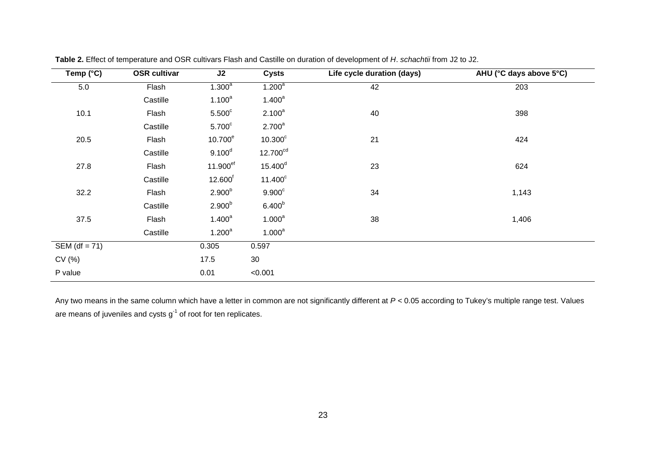| Temp $(^{\circ}C)$ | <b>OSR cultivar</b> | J2                  | <b>Cysts</b>         | Life cycle duration (days) | AHU (°C days above 5°C) |
|--------------------|---------------------|---------------------|----------------------|----------------------------|-------------------------|
| 5.0                | Flash               | 1.300 <sup>a</sup>  | 1.200 <sup>a</sup>   | 42                         | 203                     |
|                    | Castille            | $1.100^a$           | $1.400^a$            |                            |                         |
| 10.1               | Flash               | 5.500 <sup>c</sup>  | $2.100^a$            | 40                         | 398                     |
|                    | Castille            | 5.700 <sup>c</sup>  | $2.700^a$            |                            |                         |
| 20.5               | Flash               | 10.700 <sup>e</sup> | 10.300 <sup>c</sup>  | 21                         | 424                     |
|                    | Castille            | $9.100^d$           | 12.700 <sup>cd</sup> |                            |                         |
| 27.8               | Flash               | 11.900ef            | $15.400^d$           | 23                         | 624                     |
|                    | Castille            | 12.600 <sup>f</sup> | $11.400^c$           |                            |                         |
| 32.2               | Flash               | $2.900^{b}$         | $9.900^{\circ}$      | 34                         | 1,143                   |
|                    | Castille            | $2.900^{b}$         | 6.400 <sup>b</sup>   |                            |                         |
| 37.5               | Flash               | $1.400^a$           | 1.000 <sup>a</sup>   | 38                         | 1,406                   |
|                    | Castille            | $1.200^a$           | $1.000^a$            |                            |                         |
| SEM (df = $71$ )   |                     | 0.305               | 0.597                |                            |                         |
| CV(%)              |                     | 17.5                | 30                   |                            |                         |
| P value            |                     | 0.01                | < 0.001              |                            |                         |

**Table 2.** Effect of temperature and OSR cultivars Flash and Castille on duration of development of *H*. *schachtii* from J2 to J2.

Any two means in the same column which have a letter in common are not significantly different at *P <* 0.05 according to Tukey's multiple range test. Values are means of juveniles and cysts  $g^{-1}$  of root for ten replicates.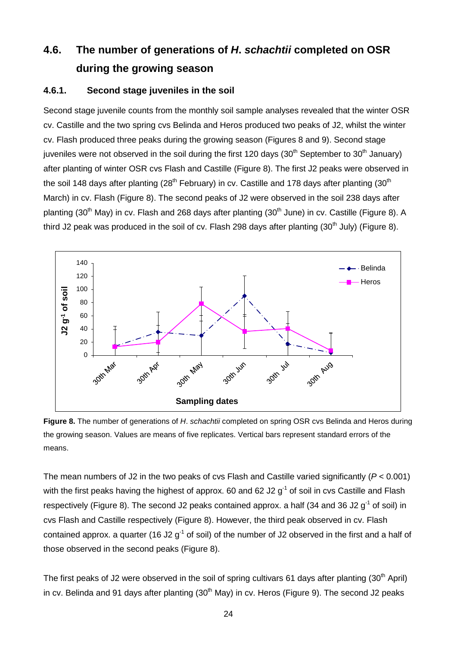# **4.6. The number of generations of** *H***.** *schachtii* **completed on OSR during the growing season**

### **4.6.1. Second stage juveniles in the soil**

Second stage juvenile counts from the monthly soil sample analyses revealed that the winter OSR cv. Castille and the two spring cvs Belinda and Heros produced two peaks of J2, whilst the winter cv. Flash produced three peaks during the growing season (Figures 8 and 9). Second stage juveniles were not observed in the soil during the first 120 days (30<sup>th</sup> September to 30<sup>th</sup> January) after planting of winter OSR cvs Flash and Castille (Figure 8). The first J2 peaks were observed in the soil 148 days after planting  $(28<sup>th</sup>$  February) in cv. Castille and 178 days after planting  $(30<sup>th</sup>$ March) in cv. Flash (Figure 8). The second peaks of J2 were observed in the soil 238 days after planting (30<sup>th</sup> May) in cv. Flash and 268 days after planting (30<sup>th</sup> June) in cv. Castille (Figure 8). A third J2 peak was produced in the soil of cv. Flash 298 days after planting  $(30<sup>th</sup>$  July) (Figure 8).



**Figure 8.** The number of generations of *H*. *schachtii* completed on spring OSR cvs Belinda and Heros during the growing season. Values are means of five replicates. Vertical bars represent standard errors of the means.

The mean numbers of J2 in the two peaks of cvs Flash and Castille varied significantly (*P* < 0.001) with the first peaks having the highest of approx. 60 and 62 J2  $q<sup>-1</sup>$  of soil in cvs Castille and Flash respectively (Figure 8). The second J2 peaks contained approx. a half (34 and 36 J2  $q^{-1}$  of soil) in cvs Flash and Castille respectively (Figure 8). However, the third peak observed in cv. Flash contained approx. a quarter (16 J2  $q^{-1}$  of soil) of the number of J2 observed in the first and a half of those observed in the second peaks (Figure 8).

The first peaks of J2 were observed in the soil of spring cultivars 61 days after planting (30<sup>th</sup> April) in cv. Belinda and 91 days after planting  $(30<sup>th</sup>$  May) in cv. Heros (Figure 9). The second J2 peaks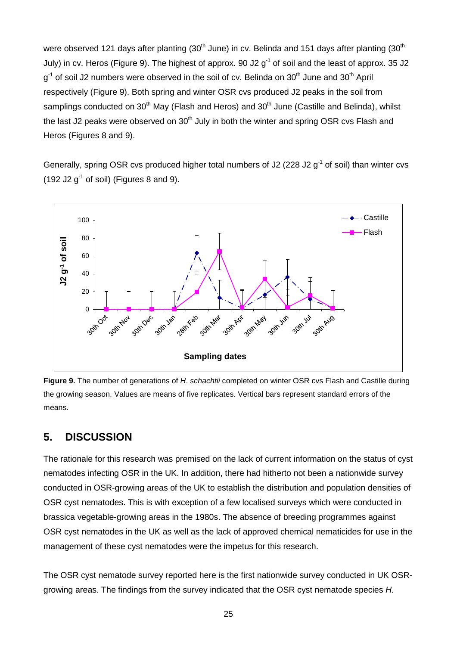were observed 121 days after planting  $(30<sup>th</sup>$  June) in cv. Belinda and 151 days after planting  $(30<sup>th</sup>$ July) in cv. Heros (Figure 9). The highest of approx. 90 J2  $q^{-1}$  of soil and the least of approx. 35 J2  $q^{-1}$  of soil J2 numbers were observed in the soil of cv. Belinda on 30<sup>th</sup> June and 30<sup>th</sup> April respectively (Figure 9). Both spring and winter OSR cvs produced J2 peaks in the soil from samplings conducted on 30<sup>th</sup> May (Flash and Heros) and 30<sup>th</sup> June (Castille and Belinda), whilst the last J2 peaks were observed on  $30<sup>th</sup>$  July in both the winter and spring OSR cvs Flash and Heros (Figures 8 and 9).

Generally, spring OSR cvs produced higher total numbers of J2 (228 J2  $q^{-1}$  of soil) than winter cvs (192 J2  $g^{-1}$  of soil) (Figures 8 and 9).



**Figure 9.** The number of generations of *H*. *schachtii* completed on winter OSR cvs Flash and Castille during the growing season. Values are means of five replicates. Vertical bars represent standard errors of the means.

## **5. DISCUSSION**

The rationale for this research was premised on the lack of current information on the status of cyst nematodes infecting OSR in the UK. In addition, there had hitherto not been a nationwide survey conducted in OSR-growing areas of the UK to establish the distribution and population densities of OSR cyst nematodes. This is with exception of a few localised surveys which were conducted in brassica vegetable-growing areas in the 1980s. The absence of breeding programmes against OSR cyst nematodes in the UK as well as the lack of approved chemical nematicides for use in the management of these cyst nematodes were the impetus for this research.

The OSR cyst nematode survey reported here is the first nationwide survey conducted in UK OSRgrowing areas. The findings from the survey indicated that the OSR cyst nematode species *H.*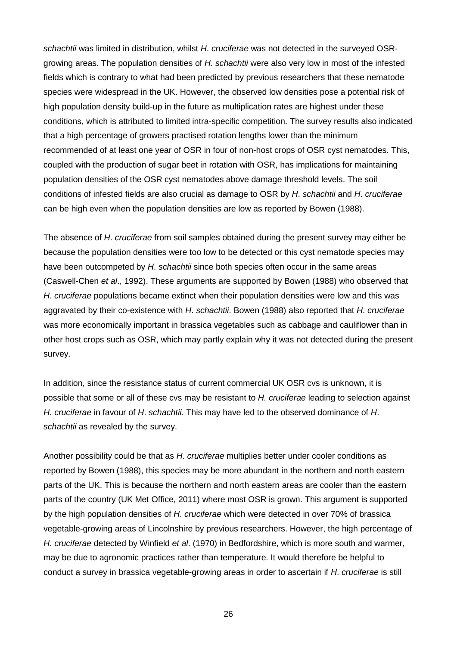*schachtii* was limited in distribution, whilst *H*. *cruciferae* was not detected in the surveyed OSRgrowing areas. The population densities of *H. schachtii* were also very low in most of the infested fields which is contrary to what had been predicted by previous researchers that these nematode species were widespread in the UK. However, the observed low densities pose a potential risk of high population density build-up in the future as multiplication rates are highest under these conditions, which is attributed to limited intra-specific competition. The survey results also indicated that a high percentage of growers practised rotation lengths lower than the minimum recommended of at least one year of OSR in four of non-host crops of OSR cyst nematodes. This, coupled with the production of sugar beet in rotation with OSR, has implications for maintaining population densities of the OSR cyst nematodes above damage threshold levels. The soil conditions of infested fields are also crucial as damage to OSR by *H*. *schachtii* and *H*. *cruciferae* can be high even when the population densities are low as reported by Bowen (1988).

The absence of *H*. *cruciferae* from soil samples obtained during the present survey may either be because the population densities were too low to be detected or this cyst nematode species may have been outcompeted by *H*. *schachtii* since both species often occur in the same areas (Caswell-Chen *et al*., 1992). These arguments are supported by Bowen (1988) who observed that *H*. *cruciferae* populations became extinct when their population densities were low and this was aggravated by their co-existence with *H*. *schachtii*. Bowen (1988) also reported that *H*. *cruciferae* was more economically important in brassica vegetables such as cabbage and cauliflower than in other host crops such as OSR, which may partly explain why it was not detected during the present survey.

In addition, since the resistance status of current commercial UK OSR cvs is unknown, it is possible that some or all of these cvs may be resistant to *H. cruciferae* leading to selection against *H*. *cruciferae* in favour of *H*. *schachtii*. This may have led to the observed dominance of *H*. *schachtii* as revealed by the survey.

Another possibility could be that as *H*. *cruciferae* multiplies better under cooler conditions as reported by Bowen (1988), this species may be more abundant in the northern and north eastern parts of the UK. This is because the northern and north eastern areas are cooler than the eastern parts of the country (UK Met Office, 2011) where most OSR is grown. This argument is supported by the high population densities of *H*. *cruciferae* which were detected in over 70% of brassica vegetable-growing areas of Lincolnshire by previous researchers. However, the high percentage of *H*. *cruciferae* detected by Winfield *et al*. (1970) in Bedfordshire, which is more south and warmer, may be due to agronomic practices rather than temperature. It would therefore be helpful to conduct a survey in brassica vegetable-growing areas in order to ascertain if *H*. *cruciferae* is still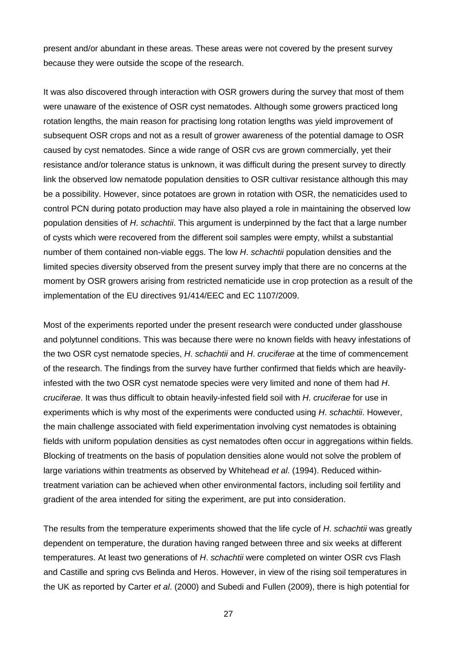present and/or abundant in these areas. These areas were not covered by the present survey because they were outside the scope of the research.

It was also discovered through interaction with OSR growers during the survey that most of them were unaware of the existence of OSR cyst nematodes. Although some growers practiced long rotation lengths, the main reason for practising long rotation lengths was yield improvement of subsequent OSR crops and not as a result of grower awareness of the potential damage to OSR caused by cyst nematodes. Since a wide range of OSR cvs are grown commercially, yet their resistance and/or tolerance status is unknown, it was difficult during the present survey to directly link the observed low nematode population densities to OSR cultivar resistance although this may be a possibility. However, since potatoes are grown in rotation with OSR, the nematicides used to control PCN during potato production may have also played a role in maintaining the observed low population densities of *H*. *schachtii*. This argument is underpinned by the fact that a large number of cysts which were recovered from the different soil samples were empty, whilst a substantial number of them contained non-viable eggs. The low *H*. *schachtii* population densities and the limited species diversity observed from the present survey imply that there are no concerns at the moment by OSR growers arising from restricted nematicide use in crop protection as a result of the implementation of the EU directives 91/414/EEC and EC 1107/2009.

Most of the experiments reported under the present research were conducted under glasshouse and polytunnel conditions. This was because there were no known fields with heavy infestations of the two OSR cyst nematode species, *H*. *schachtii* and *H*. *cruciferae* at the time of commencement of the research. The findings from the survey have further confirmed that fields which are heavilyinfested with the two OSR cyst nematode species were very limited and none of them had *H*. *cruciferae*. It was thus difficult to obtain heavily-infested field soil with *H*. *cruciferae* for use in experiments which is why most of the experiments were conducted using *H*. *schachtii*. However, the main challenge associated with field experimentation involving cyst nematodes is obtaining fields with uniform population densities as cyst nematodes often occur in aggregations within fields. Blocking of treatments on the basis of population densities alone would not solve the problem of large variations within treatments as observed by Whitehead *et al*. (1994). Reduced withintreatment variation can be achieved when other environmental factors, including soil fertility and gradient of the area intended for siting the experiment, are put into consideration.

The results from the temperature experiments showed that the life cycle of *H*. *schachtii* was greatly dependent on temperature, the duration having ranged between three and six weeks at different temperatures. At least two generations of *H*. *schachtii* were completed on winter OSR cvs Flash and Castille and spring cvs Belinda and Heros. However, in view of the rising soil temperatures in the UK as reported by Carter *et al*. (2000) and Subedi and Fullen (2009), there is high potential for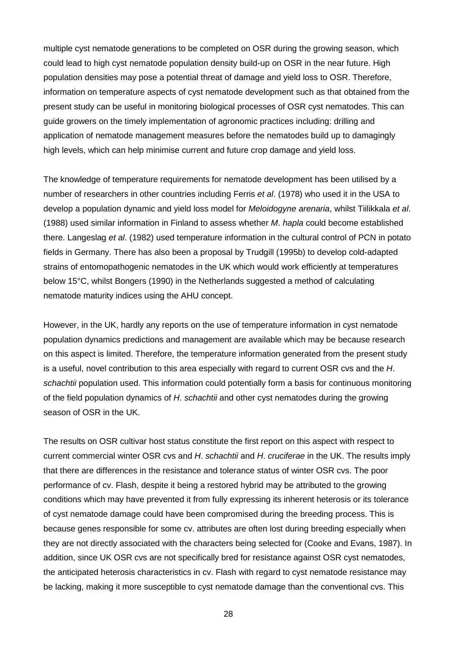multiple cyst nematode generations to be completed on OSR during the growing season, which could lead to high cyst nematode population density build-up on OSR in the near future. High population densities may pose a potential threat of damage and yield loss to OSR. Therefore, information on temperature aspects of cyst nematode development such as that obtained from the present study can be useful in monitoring biological processes of OSR cyst nematodes. This can guide growers on the timely implementation of agronomic practices including: drilling and application of nematode management measures before the nematodes build up to damagingly high levels, which can help minimise current and future crop damage and yield loss.

The knowledge of temperature requirements for nematode development has been utilised by a number of researchers in other countries including Ferris *et al*. (1978) who used it in the USA to develop a population dynamic and yield loss model for *Meloidogyne arenaria*, whilst Tiilikkala *et al*. (1988) used similar information in Finland to assess whether *M*. *hapla* could become established there. Langeslag *et al*. (1982) used temperature information in the cultural control of PCN in potato fields in Germany. There has also been a proposal by Trudgill (1995b) to develop cold-adapted strains of entomopathogenic nematodes in the UK which would work efficiently at temperatures below 15°C, whilst Bongers (1990) in the Netherlands suggested a method of calculating nematode maturity indices using the AHU concept.

However, in the UK, hardly any reports on the use of temperature information in cyst nematode population dynamics predictions and management are available which may be because research on this aspect is limited. Therefore, the temperature information generated from the present study is a useful, novel contribution to this area especially with regard to current OSR cvs and the *H*. *schachtii* population used. This information could potentially form a basis for continuous monitoring of the field population dynamics of *H*. *schachtii* and other cyst nematodes during the growing season of OSR in the UK.

The results on OSR cultivar host status constitute the first report on this aspect with respect to current commercial winter OSR cvs and *H*. *schachtii* and *H*. *cruciferae* in the UK. The results imply that there are differences in the resistance and tolerance status of winter OSR cvs. The poor performance of cv. Flash, despite it being a restored hybrid may be attributed to the growing conditions which may have prevented it from fully expressing its inherent heterosis or its tolerance of cyst nematode damage could have been compromised during the breeding process. This is because genes responsible for some cv. attributes are often lost during breeding especially when they are not directly associated with the characters being selected for (Cooke and Evans, 1987). In addition, since UK OSR cvs are not specifically bred for resistance against OSR cyst nematodes, the anticipated heterosis characteristics in cv. Flash with regard to cyst nematode resistance may be lacking, making it more susceptible to cyst nematode damage than the conventional cvs. This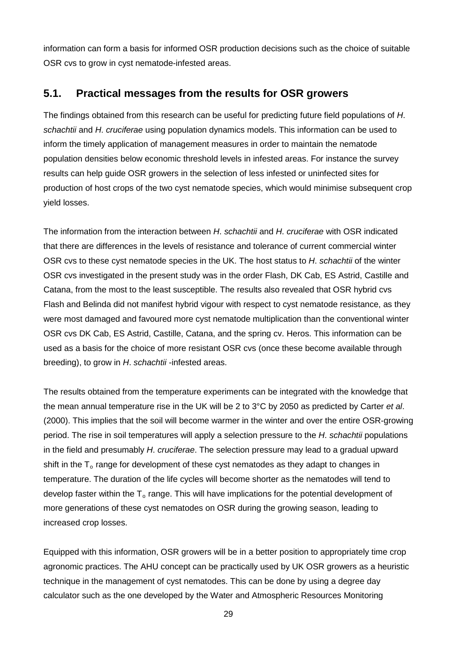information can form a basis for informed OSR production decisions such as the choice of suitable OSR cvs to grow in cyst nematode-infested areas.

## **5.1. Practical messages from the results for OSR growers**

The findings obtained from this research can be useful for predicting future field populations of *H*. *schachtii* and *H*. *cruciferae* using population dynamics models. This information can be used to inform the timely application of management measures in order to maintain the nematode population densities below economic threshold levels in infested areas. For instance the survey results can help guide OSR growers in the selection of less infested or uninfected sites for production of host crops of the two cyst nematode species, which would minimise subsequent crop yield losses.

The information from the interaction between *H*. *schachtii* and *H*. *cruciferae* with OSR indicated that there are differences in the levels of resistance and tolerance of current commercial winter OSR cvs to these cyst nematode species in the UK. The host status to *H*. *schachtii* of the winter OSR cvs investigated in the present study was in the order Flash, DK Cab, ES Astrid, Castille and Catana, from the most to the least susceptible. The results also revealed that OSR hybrid cvs Flash and Belinda did not manifest hybrid vigour with respect to cyst nematode resistance, as they were most damaged and favoured more cyst nematode multiplication than the conventional winter OSR cvs DK Cab, ES Astrid, Castille, Catana, and the spring cv. Heros. This information can be used as a basis for the choice of more resistant OSR cvs (once these become available through breeding), to grow in *H*. *schachtii* -infested areas.

The results obtained from the temperature experiments can be integrated with the knowledge that the mean annual temperature rise in the UK will be 2 to 3°C by 2050 as predicted by Carter *et al*. (2000). This implies that the soil will become warmer in the winter and over the entire OSR-growing period. The rise in soil temperatures will apply a selection pressure to the *H*. *schachtii* populations in the field and presumably *H*. *cruciferae*. The selection pressure may lead to a gradual upward shift in the  $T<sub>o</sub>$  range for development of these cyst nematodes as they adapt to changes in temperature. The duration of the life cycles will become shorter as the nematodes will tend to develop faster within the  $T_0$  range. This will have implications for the potential development of more generations of these cyst nematodes on OSR during the growing season, leading to increased crop losses.

Equipped with this information, OSR growers will be in a better position to appropriately time crop agronomic practices. The AHU concept can be practically used by UK OSR growers as a heuristic technique in the management of cyst nematodes. This can be done by using a degree day calculator such as the one developed by the Water and Atmospheric Resources Monitoring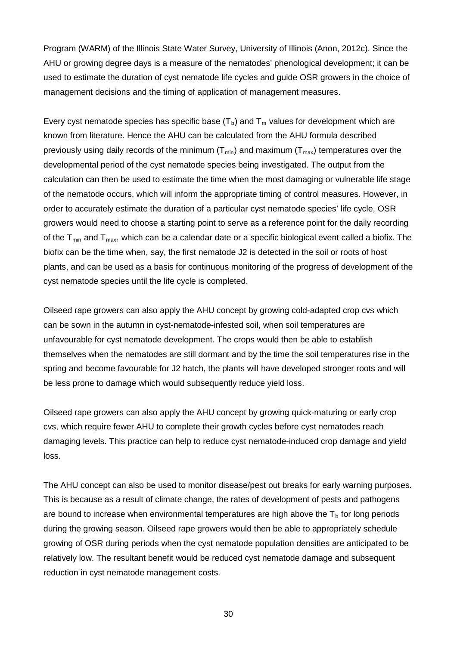Program (WARM) of the Illinois State Water Survey, University of Illinois (Anon, 2012c). Since the AHU or growing degree days is a measure of the nematodes' phenological development; it can be used to estimate the duration of cyst nematode life cycles and guide OSR growers in the choice of management decisions and the timing of application of management measures.

Every cyst nematode species has specific base  $(T_b)$  and  $T_m$  values for development which are known from literature. Hence the AHU can be calculated from the AHU formula described previously using daily records of the minimum  $(T_{min})$  and maximum  $(T_{max})$  temperatures over the developmental period of the cyst nematode species being investigated. The output from the calculation can then be used to estimate the time when the most damaging or vulnerable life stage of the nematode occurs, which will inform the appropriate timing of control measures. However, in order to accurately estimate the duration of a particular cyst nematode species' life cycle, OSR growers would need to choose a starting point to serve as a reference point for the daily recording of the  $T_{min}$  and  $T_{max}$ , which can be a calendar date or a specific biological event called a biofix. The biofix can be the time when, say, the first nematode J2 is detected in the soil or roots of host plants, and can be used as a basis for continuous monitoring of the progress of development of the cyst nematode species until the life cycle is completed.

Oilseed rape growers can also apply the AHU concept by growing cold-adapted crop cvs which can be sown in the autumn in cyst-nematode-infested soil, when soil temperatures are unfavourable for cyst nematode development. The crops would then be able to establish themselves when the nematodes are still dormant and by the time the soil temperatures rise in the spring and become favourable for J2 hatch, the plants will have developed stronger roots and will be less prone to damage which would subsequently reduce yield loss.

Oilseed rape growers can also apply the AHU concept by growing quick-maturing or early crop cvs, which require fewer AHU to complete their growth cycles before cyst nematodes reach damaging levels. This practice can help to reduce cyst nematode-induced crop damage and yield loss.

The AHU concept can also be used to monitor disease/pest out breaks for early warning purposes. This is because as a result of climate change, the rates of development of pests and pathogens are bound to increase when environmental temperatures are high above the  $T_b$  for long periods during the growing season. Oilseed rape growers would then be able to appropriately schedule growing of OSR during periods when the cyst nematode population densities are anticipated to be relatively low. The resultant benefit would be reduced cyst nematode damage and subsequent reduction in cyst nematode management costs.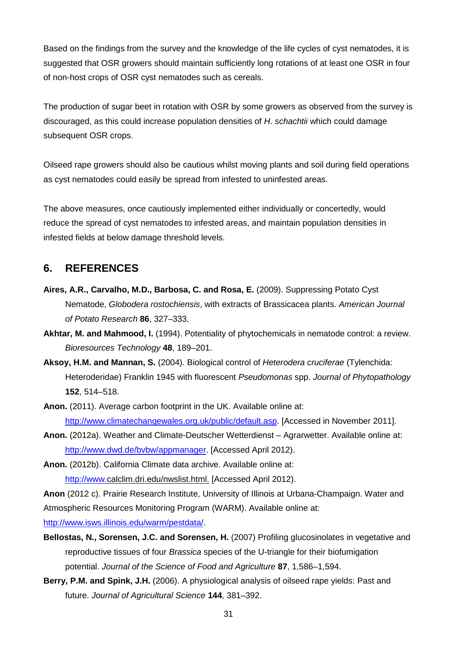Based on the findings from the survey and the knowledge of the life cycles of cyst nematodes, it is suggested that OSR growers should maintain sufficiently long rotations of at least one OSR in four of non-host crops of OSR cyst nematodes such as cereals.

The production of sugar beet in rotation with OSR by some growers as observed from the survey is discouraged, as this could increase population densities of *H*. *schachtii* which could damage subsequent OSR crops.

Oilseed rape growers should also be cautious whilst moving plants and soil during field operations as cyst nematodes could easily be spread from infested to uninfested areas.

The above measures, once cautiously implemented either individually or concertedly, would reduce the spread of cyst nematodes to infested areas, and maintain population densities in infested fields at below damage threshold levels.

## **6. REFERENCES**

- **Aires, A.R., Carvalho, M.D., Barbosa, C. and Rosa, E.** (2009). Suppressing Potato Cyst Nematode, *Globodera rostochiensis*, with extracts of Brassicacea plants. *American Journal of Potato Research* **86**, 327–333.
- **Akhtar, M. and Mahmood, I.** (1994). Potentiality of phytochemicals in nematode control: a review. *Bioresources Technology* **48**, 189–201.
- **Aksoy, H.M. and Mannan, S.** (2004). Biological control of *Heterodera cruciferae* (Tylenchida: Heteroderidae) Franklin 1945 with fluorescent *Pseudomonas* spp. *Journal of Phytopathology* **152**, 514–518.
- **Anon.** (2011). Average carbon footprint in the UK. Available online at: [http://www.climatechangewales.org.uk/public/default.asp.](http://www.climatechangewales.org.uk/public/default.asp) [Accessed in November 2011].
- **Anon.** (2012a). Weather and Climate-Deutscher Wetterdienst Agrarwetter. Available online at: [http://www.dwd.de/bvbw/appmanager.](http://www.dwd.de/bvbw/appmanager) [Accessed April 2012).
- **Anon.** (2012b). California Climate data archive. Available online at: [http://www.c](http://www.dwd.de/bvbw/appmanager)alclim.dri.edu/nwslist.html. [Accessed April 2012).

**Anon** (2012 c). Prairie Research Institute, University of Illinois at Urbana-Champaign. Water and Atmospheric Resources Monitoring Program (WARM). Available online at:

[http://www.isws.illinois.edu/warm/pestdata/.](http://www.isws.illinois.edu/warm/pestdata/)

**Bellostas, N., Sorensen, J.C. and Sorensen, H.** (2007) Profiling glucosinolates in vegetative and reproductive tissues of four *Brassica* species of the U-triangle for their biofumigation potential. *Journal of the Science of Food and Agriculture* **87**, 1,586–1,594.

**Berry, P.M. and Spink, J.H.** (2006). A physiological analysis of oilseed rape yields: Past and future. *Journal of Agricultural Science* **144**, 381–392.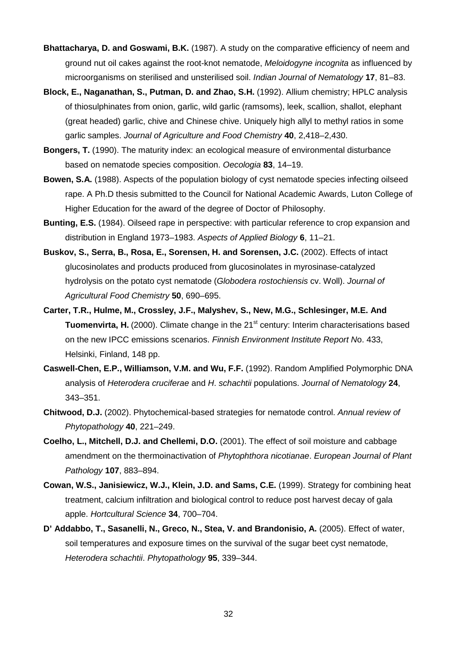- **Bhattacharya, D. and Goswami, B.K.** (1987). A study on the comparative efficiency of neem and ground nut oil cakes against the root-knot nematode, *Meloidogyne incognita* as influenced by microorganisms on sterilised and unsterilised soil. *Indian Journal of Nematology* **17**, 81–83.
- **Block, E., Naganathan, S., Putman, D. and Zhao, S.H.** (1992). Allium chemistry; HPLC analysis of thiosulphinates from onion, garlic, wild garlic (ramsoms), leek, scallion, shallot, elephant (great headed) garlic, chive and Chinese chive. Uniquely high allyl to methyl ratios in some garlic samples. *Journal of Agriculture and Food Chemistry* **40**, 2,418–2,430.
- **Bongers, T.** (1990). The maturity index: an ecological measure of environmental disturbance based on nematode species composition. *Oecologia* **83**, 14–19.
- **Bowen, S.A.** (1988). Aspects of the population biology of cyst nematode species infecting oilseed rape. A Ph.D thesis submitted to the Council for National Academic Awards, Luton College of Higher Education for the award of the degree of Doctor of Philosophy.
- **Bunting, E.S.** (1984). Oilseed rape in perspective: with particular reference to crop expansion and distribution in England 1973–1983. *Aspects of Applied Biology* **6**, 11–21.
- **Buskov, S., Serra, B., Rosa, E., Sorensen, H. and Sorensen, J.C.** (2002). Effects of intact glucosinolates and products produced from glucosinolates in myrosinase-catalyzed hydrolysis on the potato cyst nematode (*Globodera rostochiensis* cv. Woll). *Journal of Agricultural Food Chemistry* **50**, 690–695.
- **Carter, T.R., Hulme, M., Crossley, J.F., Malyshev, S., New, M.G., Schlesinger, M.E. And Tuomenvirta, H.** (2000). Climate change in the 21<sup>st</sup> century: Interim characterisations based on the new IPCC emissions scenarios. *Finnish Environment Institute Report N*o. 433, Helsinki, Finland, 148 pp.
- **Caswell-Chen, E.P., Williamson, V.M. and Wu, F.F.** (1992). Random Amplified Polymorphic DNA analysis of *Heterodera cruciferae* and *H*. *schachtii* populations. *Journal of Nematology* **24**, 343–351.
- **Chitwood, D.J.** (2002). Phytochemical-based strategies for nematode control. *Annual review of Phytopathology* **40**, 221–249.
- **Coelho, L., Mitchell, D.J. and Chellemi, D.O.** (2001). The effect of soil moisture and cabbage amendment on the thermoinactivation of *Phytophthora nicotianae*. *European Journal of Plant Pathology* **107**, 883–894.
- **Cowan, W.S., Janisiewicz, W.J., Klein, J.D. and Sams, C.E.** (1999). Strategy for combining heat treatment, calcium infiltration and biological control to reduce post harvest decay of gala apple. *Hortcultural Science* **34**, 700–704.
- **D' Addabbo, T., Sasanelli, N., Greco, N., Stea, V. and Brandonisio, A.** (2005). Effect of water, soil temperatures and exposure times on the survival of the sugar beet cyst nematode, *Heterodera schachtii*. *Phytopathology* **95**, 339–344.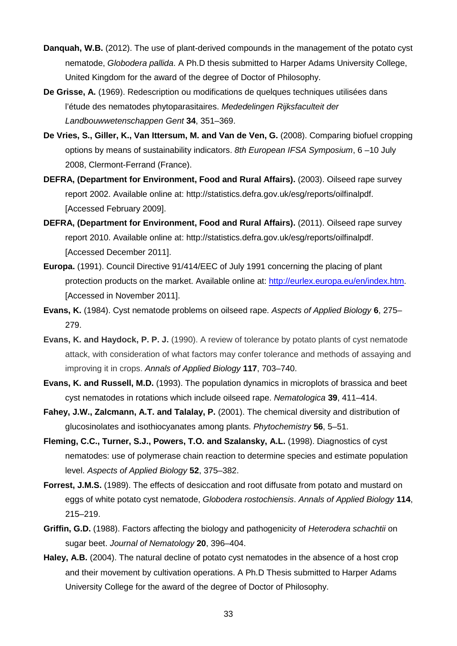- **Danquah, W.B.** (2012). The use of plant-derived compounds in the management of the potato cyst nematode, *Globodera pallida*. A Ph.D thesis submitted to Harper Adams University College, United Kingdom for the award of the degree of Doctor of Philosophy.
- **De Grisse, A.** (1969). Redescription ou modifications de quelques techniques utilisées dans l'étude des nematodes phytoparasitaires. *Mededelingen Rijksfaculteit der Landbouwwetenschappen Gent* **34**, 351–369.
- **De Vries, S., Giller, K., Van Ittersum, M. and Van de Ven, G.** (2008). Comparing biofuel cropping options by means of sustainability indicators. *8th European IFSA Symposium*, 6 –10 July 2008, Clermont-Ferrand (France).
- **DEFRA, (Department for Environment, Food and Rural Affairs).** (2003). Oilseed rape survey report 2002. Available online at: http://statistics.defra.gov.uk/esg/reports/oilfinalpdf. [Accessed February 2009].
- **DEFRA, (Department for Environment, Food and Rural Affairs).** (2011). Oilseed rape survey report 2010. Available online at: http://statistics.defra.gov.uk/esg/reports/oilfinalpdf. [Accessed December 2011].
- **Europa.** (1991). Council Directive 91/414/EEC of July 1991 concerning the placing of plant protection products on the market. Available online at: [http://eurlex.europa.eu/en/index.htm.](http://eurlex.europa.eu/en/index.htm) [Accessed in November 2011].
- **Evans, K.** (1984). Cyst nematode problems on oilseed rape. *Aspects of Applied Biology* **6**, 275– 279.
- **Evans, K. and Haydock, P. P. J.** (1990). A review of tolerance by potato plants of cyst nematode attack, with consideration of what factors may confer tolerance and methods of assaying and improving it in crops. *Annals of Applied Biology* **117**, 703–740.
- **Evans, K. and Russell, M.D.** (1993). The population dynamics in microplots of brassica and beet cyst nematodes in rotations which include oilseed rape. *Nematologica* **39**, 411–414.
- **Fahey, J.W., Zalcmann, A.T. and Talalay, P.** (2001). The chemical diversity and distribution of glucosinolates and isothiocyanates among plants. *Phytochemistry* **56**, 5–51.
- **Fleming, C.C., Turner, S.J., Powers, T.O. and Szalansky, A.L.** (1998). Diagnostics of cyst nematodes: use of polymerase chain reaction to determine species and estimate population level. *Aspects of Applied Biology* **52**, 375–382.
- **Forrest, J.M.S.** (1989). The effects of desiccation and root diffusate from potato and mustard on eggs of white potato cyst nematode, *Globodera rostochiensis*. *Annals of Applied Biology* **114**, 215–219.
- **Griffin, G.D.** (1988). Factors affecting the biology and pathogenicity of *Heterodera schachtii* on sugar beet. *Journal of Nematology* **20**, 396–404.
- **Haley, A.B.** (2004). The natural decline of potato cyst nematodes in the absence of a host crop and their movement by cultivation operations. A Ph.D Thesis submitted to Harper Adams University College for the award of the degree of Doctor of Philosophy.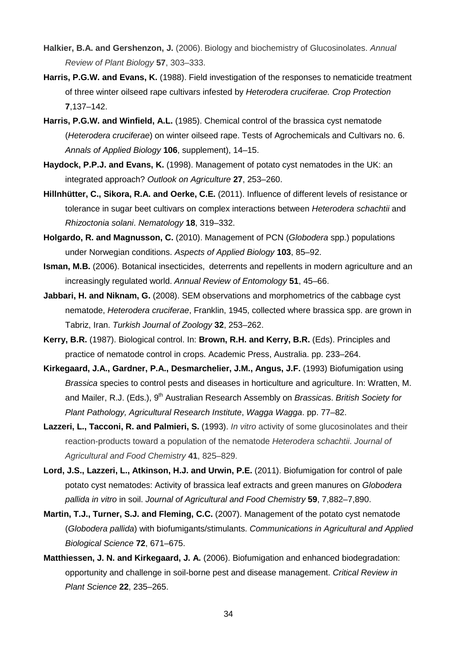- **Halkier, B.A. and Gershenzon, J.** (2006). Biology and biochemistry of Glucosinolates. *Annual Review of Plant Biology* **57**, 303–333.
- **Harris, P.G.W. and Evans, K.** (1988). Field investigation of the responses to nematicide treatment of three winter oilseed rape cultivars infested by *Heterodera cruciferae. Crop Protection* **7**,137–142.
- **Harris, P.G.W. and Winfield, A.L.** (1985). Chemical control of the brassica cyst nematode (*Heterodera cruciferae*) on winter oilseed rape. Tests of Agrochemicals and Cultivars no. 6. *Annals of Applied Biology* **106**, supplement), 14–15.
- **Haydock, P.P.J. and Evans, K.** (1998). Management of potato cyst nematodes in the UK: an integrated approach? *Outlook on Agriculture* **27**, 253–260.
- **Hillnhütter, C., Sikora, R.A. and Oerke, C.E.** (2011). Influence of different levels of resistance or tolerance in sugar beet cultivars on complex interactions between *Heterodera schachtii* and *Rhizoctonia solani*. *Nematology* **18**, 319–332.
- **Holgardo, R. and Magnusson, C.** (2010). Management of PCN (*Globodera* spp.) populations under Norwegian conditions. *Aspects of Applied Biology* **103**, 85–92.
- **Isman, M.B.** (2006). Botanical insecticides, deterrents and repellents in modern agriculture and an increasingly regulated world. *Annual Review of Entomology* **51**, 45–66.
- **Jabbari, H. and Niknam, G.** (2008). SEM observations and morphometrics of the cabbage cyst nematode, *Heterodera cruciferae*, Franklin, 1945, collected where brassica spp. are grown in Tabriz, Iran. *Turkish Journal of Zoology* **32**, 253–262.
- **Kerry, B.R.** (1987). Biological control. In: **Brown, R.H. and Kerry, B.R.** (Eds). Principles and practice of nematode control in crops. Academic Press, Australia. pp. 233–264.
- **Kirkegaard, J.A., Gardner, P.A., Desmarchelier, J.M., Angus, J.F.** (1993) Biofumigation using *Brassica* species to control pests and diseases in horticulture and agriculture. In: Wratten, M. and Mailer, R.J. (Eds.), 9<sup>th</sup> Australian Research Assembly on *Brassicas. British Society for Plant Pathology, Agricultural Research Institute*, *Wagga Wagga*. pp. 77–82.
- **Lazzeri, L., Tacconi, R. and Palmieri, S.** (1993). *In vitro* activity of some glucosinolates and their reaction-products toward a population of the nematode *Heterodera schachtii*. *Journal of Agricultural and Food Chemistry* **41**, 825–829.
- **Lord, J.S., Lazzeri, L., Atkinson, H.J. and Urwin, P.E.** (2011). Biofumigation for control of pale potato cyst nematodes: Activity of brassica leaf extracts and green manures on *Globodera pallida in vitro* in soil. *Journal of Agricultural and Food Chemistry* **59**, 7,882–7,890.
- **Martin, T.J., Turner, S.J. and Fleming, C.C.** (2007). Management of the potato cyst nematode (*Globodera pallida*) with biofumigants/stimulants. *Communications in Agricultural and Applied Biological Science* **72**, 671–675.
- **Matthiessen, J. N. and Kirkegaard, J. A.** (2006). Biofumigation and enhanced biodegradation: opportunity and challenge in soil-borne pest and disease management. *Critical Review in Plant Science* **22**, 235–265.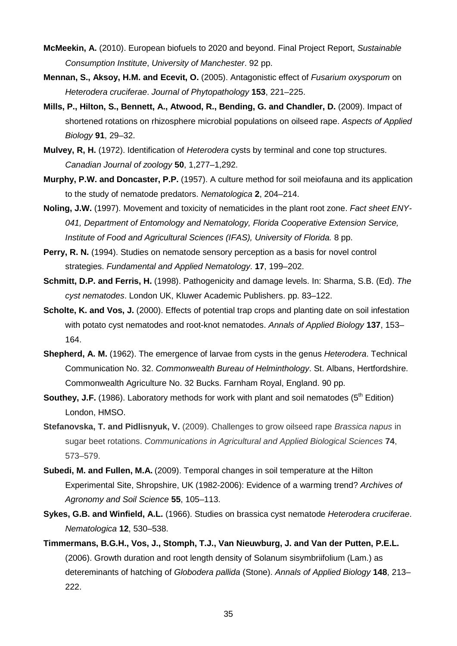- **McMeekin, A.** (2010). European biofuels to 2020 and beyond. Final Project Report, *Sustainable Consumption Institute*, *University of Manchester*. 92 pp.
- **Mennan, S., Aksoy, H.M. and Ecevit, O.** (2005). Antagonistic effect of *Fusarium oxysporum* on *Heterodera cruciferae*. *Journal of Phytopathology* **153**, 221–225.
- **Mills, P., Hilton, S., Bennett, A., Atwood, R., Bending, G. and Chandler, D.** (2009). Impact of shortened rotations on rhizosphere microbial populations on oilseed rape. *Aspects of Applied Biology* **91**, 29–32.
- **Mulvey, R, H.** (1972). Identification of *Heterodera* cysts by terminal and cone top structures. *Canadian Journal of zoology* **50**, 1,277–1,292.
- **Murphy, P.W. and Doncaster, P.P.** (1957). A culture method for soil meiofauna and its application to the study of nematode predators. *Nematologica* **2**, 204–214.
- **Noling, J.W.** (1997). Movement and toxicity of nematicides in the plant root zone. *Fact sheet ENY-041, Department of Entomology and Nematology, Florida Cooperative Extension Service, Institute of Food and Agricultural Sciences (IFAS), University of Florida.* 8 pp.
- **Perry, R. N.** (1994). Studies on nematode sensory perception as a basis for novel control strategies. *Fundamental and Applied Nematology*. **17**, 199–202.
- **Schmitt, D.P. and Ferris, H.** (1998). Pathogenicity and damage levels. In: Sharma, S.B. (Ed). *The cyst nematodes*. London UK, Kluwer Academic Publishers. pp. 83–122.
- **Scholte, K. and Vos, J.** (2000). Effects of potential trap crops and planting date on soil infestation with potato cyst nematodes and root-knot nematodes. *Annals of Applied Biology* **137**, 153– 164.
- **Shepherd, A. M.** (1962). The emergence of larvae from cysts in the genus *Heterodera*. Technical Communication No. 32. *Commonwealth Bureau of Helminthology*. St. Albans, Hertfordshire. Commonwealth Agriculture No. 32 Bucks. Farnham Royal, England. 90 pp.
- **Southey, J.F.** (1986). Laboratory methods for work with plant and soil nematodes (5<sup>th</sup> Edition) London, HMSO.
- **Stefanovska, T. and Pidlisnyuk, V.** (2009). Challenges to grow oilseed rape *Brassica napus* in sugar beet rotations. *Communications in Agricultural and Applied Biological Sciences* **74**, 573–579.
- **Subedi, M. and Fullen, M.A.** (2009). Temporal changes in soil temperature at the Hilton Experimental Site, Shropshire, UK (1982-2006): Evidence of a warming trend? *Archives of Agronomy and Soil Science* **55**, 105–113.
- **Sykes, G.B. and Winfield, A.L.** (1966). Studies on brassica cyst nematode *Heterodera cruciferae*. *Nematologica* **12**, 530–538.
- **Timmermans, B.G.H., Vos, J., Stomph, T.J., Van Nieuwburg, J. and Van der Putten, P.E.L.** (2006). Growth duration and root length density of Solanum sisymbriifolium (Lam.) as detereminants of hatching of *Globodera pallida* (Stone). *Annals of Applied Biology* **148**, 213– 222.